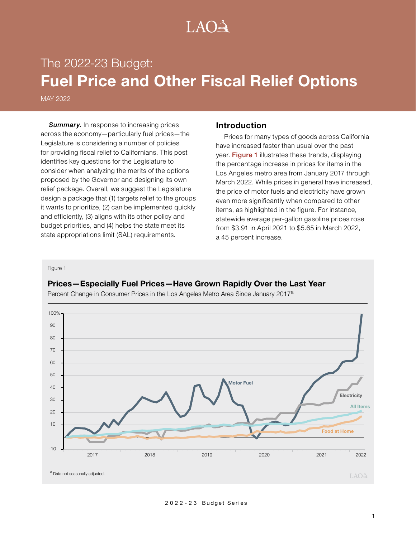# $LAO<sup>3</sup>$

# The 2022-23 Budget: **Fuel Price and Other Fiscal Relief Options**

MAY 2022

**Summary.** In response to increasing prices across the economy—particularly fuel prices—the Legislature is considering a number of policies for providing fiscal relief to Californians. This post identifies key questions for the Legislature to consider when analyzing the merits of the options proposed by the Governor and designing its own relief package. Overall, we suggest the Legislature design a package that (1) targets relief to the groups it wants to prioritize, (2) can be implemented quickly and efficiently, (3) aligns with its other policy and budget priorities, and (4) helps the state meet its state appropriations limit (SAL) requirements.

## **Introduction**

Prices for many types of goods across California have increased faster than usual over the past year. Figure 1 illustrates these trends, displaying the percentage increase in prices for items in the Los Angeles metro area from January 2017 through March 2022. While prices in general have increased, the price of motor fuels and electricity have grown even more significantly when compared to other items, as highlighted in the figure. For instance, statewide average per-gallon gasoline prices rose from \$3.91 in April 2021 to \$5.65 in March 2022, a 45 percent increase.

Figure 1

# **Prices—Especially Fuel Prices—Have Grown Rapidly Over the Last Year**



Percent Change in Consumer Prices in the Los Angeles Metro Area Since January 2017a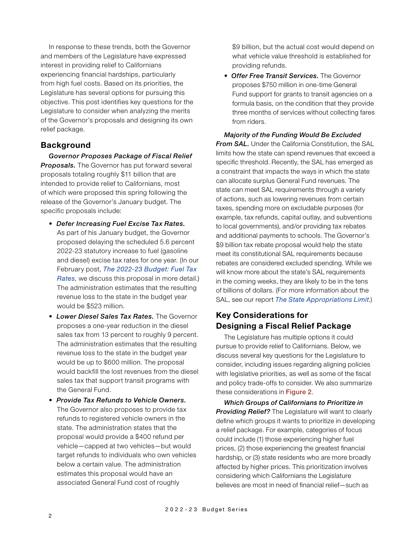In response to these trends, both the Governor and members of the Legislature have expressed interest in providing relief to Californians experiencing financial hardships, particularly from high fuel costs. Based on its priorities, the Legislature has several options for pursuing this objective. This post identifies key questions for the Legislature to consider when analyzing the merits of the Governor's proposals and designing its own relief package.

# **Background**

*Governor Proposes Package of Fiscal Relief Proposals.* The Governor has put forward several proposals totaling roughly \$11 billion that are intended to provide relief to Californians, most of which were proposed this spring following the release of the Governor's January budget. The specific proposals include:

- *Defer Increasing Fuel Excise Tax Rates.* As part of his January budget, the Governor proposed delaying the scheduled 5.6 percent 2022-23 statutory increase to fuel (gasoline and diesel) excise tax rates for one year. (In our February post, *[The 2022-23 Budget: Fuel Tax](https://lao.ca.gov/Publications/Detail/4528)  [Rates](https://lao.ca.gov/Publications/Detail/4528)*, we discuss this proposal in more detail.) The administration estimates that the resulting revenue loss to the state in the budget year would be \$523 million.
- *Lower Diesel Sales Tax Rates.* The Governor proposes a one-year reduction in the diesel sales tax from 13 percent to roughly 9 percent. The administration estimates that the resulting revenue loss to the state in the budget year would be up to \$600 million. The proposal would backfill the lost revenues from the diesel sales tax that support transit programs with the General Fund.
- *Provide Tax Refunds to Vehicle Owners.*  The Governor also proposes to provide tax refunds to registered vehicle owners in the state. The administration states that the proposal would provide a \$400 refund per vehicle—capped at two vehicles—but would target refunds to individuals who own vehicles below a certain value. The administration estimates this proposal would have an associated General Fund cost of roughly

\$9 billion, but the actual cost would depend on what vehicle value threshold is established for providing refunds.

• *Offer Free Transit Services.* The Governor proposes \$750 million in one-time General Fund support for grants to transit agencies on a formula basis, on the condition that they provide three months of services without collecting fares from riders.

*Majority of the Funding Would Be Excluded From SAL.* Under the California Constitution, the SAL limits how the state can spend revenues that exceed a specific threshold. Recently, the SAL has emerged as a constraint that impacts the ways in which the state can allocate surplus General Fund revenues. The state can meet SAL requirements through a variety of actions, such as lowering revenues from certain taxes, spending more on excludable purposes (for example, tax refunds, capital outlay, and subventions to local governments), and/or providing tax rebates and additional payments to schools. The Governor's \$9 billion tax rebate proposal would help the state meet its constitutional SAL requirements because rebates are considered excluded spending. While we will know more about the state's SAL requirements in the coming weeks, they are likely to be in the tens of billions of dollars. (For more information about the SAL, see our report *[The State Appropriations Limit](https://lao.ca.gov/Publications/Detail/4416)*.)

# **Key Considerations for Designing a Fiscal Relief Package**

The Legislature has multiple options it could pursue to provide relief to Californians. Below, we discuss several key questions for the Legislature to consider, including issues regarding aligning policies with legislative priorities, as well as some of the fiscal and policy trade-offs to consider. We also summarize these considerations in Figure 2.

*Which Groups of Californians to Prioritize in Providing Relief?* The Legislature will want to clearly define which groups it wants to prioritize in developing a relief package. For example, categories of focus could include (1) those experiencing higher fuel prices, (2) those experiencing the greatest financial hardship, or (3) state residents who are more broadly affected by higher prices. This prioritization involves considering which Californians the Legislature believes are most in need of financial relief—such as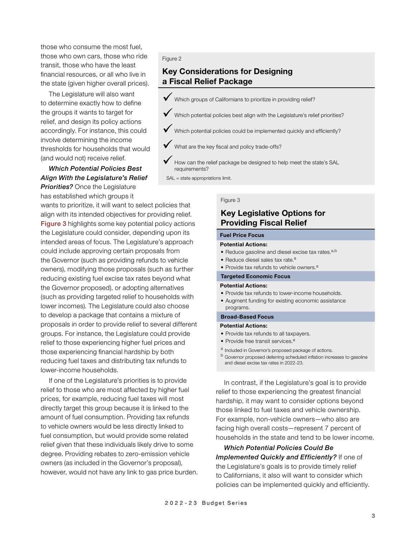those who consume the most fuel, those who own cars, those who ride transit, those who have the least financial resources, or all who live in the state (given higher overall prices).

The Legislature will also want to determine exactly how to define the groups it wants to target for relief, and design its policy actions accordingly. For instance, this could involve determining the income thresholds for households that would (and would not) receive relief.

## *Which Potential Policies Best Align With the Legislature's Relief Priorities?* Once the Legislature has established which groups it

wants to prioritize, it will want to select policies that align with its intended objectives for providing relief. Figure 3 highlights some key potential policy actions the Legislature could consider, depending upon its intended areas of focus. The Legislature's approach could include approving certain proposals from the Governor (such as providing refunds to vehicle owners), modifying those proposals (such as further reducing existing fuel excise tax rates beyond what the Governor proposed), or adopting alternatives (such as providing targeted relief to households with lower incomes). The Legislature could also choose to develop a package that contains a mixture of proposals in order to provide relief to several different groups. For instance, the Legislature could provide relief to those experiencing higher fuel prices and those experiencing financial hardship by both reducing fuel taxes and distributing tax refunds to lower-income households.

If one of the Legislature's priorities is to provide relief to those who are most affected by higher fuel prices, for example, reducing fuel taxes will most directly target this group because it is linked to the amount of fuel consumption. Providing tax refunds to vehicle owners would be less directly linked to fuel consumption, but would provide some related relief given that these individuals likely drive to some degree. Providing rebates to zero-emission vehicle owners (as included in the Governor's proposal), however, would not have any link to gas price burden.

#### Figure 2

# **Key Considerations for Designing a Fiscal Relief Package**

- 9 Which groups of Californians to prioritize in providing relief?
- $\checkmark$  Which potential policies best align with the Legislature's relief priorities?
- $\blacklozenge$  Which potential policies could be implemented quickly and efficiently?
	- What are the key fiscal and policy trade-offs?
	- How can the relief package be designed to help meet the state's SAL requirements?

SAL = state appropriations limit.

#### Figure 3

## **Key Legislative Options for Providing Fiscal Relief**

### **Fuel Price Focus**

#### **Potential Actions:**

- Reduce gasoline and diesel excise tax rates. $a,b$
- Reduce diesel sales tax rate. $a$
- Provide tax refunds to vehicle owners.<sup>a</sup>

## **Targeted Economic Focus**

#### **Potential Actions:**

- Provide tax refunds to lower-income households.
- Augment funding for existing economic assistance programs.

#### **Broad-Based Focus**

#### **Potential Actions:**

- Provide tax refunds to all taxpayers.
- Provide free transit services.<sup>a</sup>
- <sup>a</sup> Included in Governor's proposed package of actions.
- <sup>b</sup> Governor proposed deferring scheduled inflation increases to gasoline and diesel excise tax rates in 2022-23.

In contrast, if the Legislature's goal is to provide relief to those experiencing the greatest financial hardship, it may want to consider options beyond those linked to fuel taxes and vehicle ownership. For example, non-vehicle owners—who also are facing high overall costs—represent 7 percent of households in the state and tend to be lower income.

*Which Potential Policies Could Be Implemented Quickly and Efficiently?* If one of the Legislature's goals is to provide timely relief to Californians, it also will want to consider which policies can be implemented quickly and efficiently.